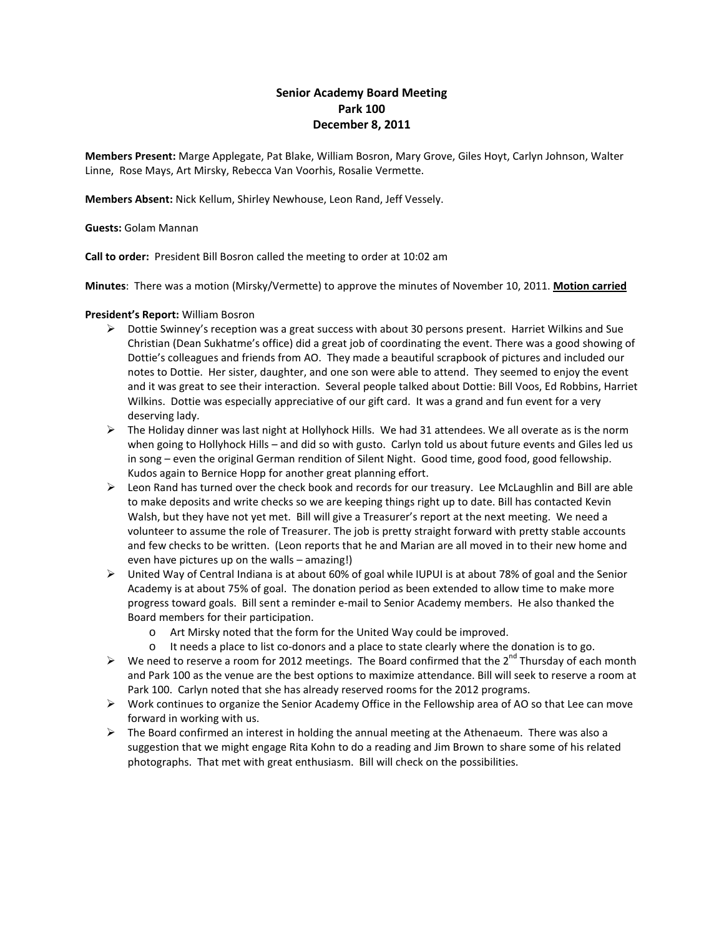# **Senior Academy Board Meeting Park 100 December 8, 2011**

**Members Present:** Marge Applegate, Pat Blake, William Bosron, Mary Grove, Giles Hoyt, Carlyn Johnson, Walter Linne, Rose Mays, Art Mirsky, Rebecca Van Voorhis, Rosalie Vermette.

**Members Absent:** Nick Kellum, Shirley Newhouse, Leon Rand, Jeff Vessely.

# **Guests:** Golam Mannan

**Call to order:** President Bill Bosron called the meeting to order at 10:02 am

**Minutes**: There was a motion (Mirsky/Vermette) to approve the minutes of November 10, 2011. **Motion carried**

# **President's Report:** William Bosron

- Dottie Swinney's reception was a great success with about 30 persons present. Harriet Wilkins and Sue Christian (Dean Sukhatme's office) did a great job of coordinating the event. There was a good showing of Dottie's colleagues and friends from AO. They made a beautiful scrapbook of pictures and included our notes to Dottie. Her sister, daughter, and one son were able to attend. They seemed to enjoy the event and it was great to see their interaction. Several people talked about Dottie: Bill Voos, Ed Robbins, Harriet Wilkins. Dottie was especially appreciative of our gift card. It was a grand and fun event for a very deserving lady.
- $\triangleright$  The Holiday dinner was last night at Hollyhock Hills. We had 31 attendees. We all overate as is the norm when going to Hollyhock Hills – and did so with gusto. Carlyn told us about future events and Giles led us in song – even the original German rendition of Silent Night. Good time, good food, good fellowship. Kudos again to Bernice Hopp for another great planning effort.
- ▶ Leon Rand has turned over the check book and records for our treasury. Lee McLaughlin and Bill are able to make deposits and write checks so we are keeping things right up to date. Bill has contacted Kevin Walsh, but they have not yet met. Bill will give a Treasurer's report at the next meeting. We need a volunteer to assume the role of Treasurer. The job is pretty straight forward with pretty stable accounts and few checks to be written. (Leon reports that he and Marian are all moved in to their new home and even have pictures up on the walls – amazing!)
- $\triangleright$  United Way of Central Indiana is at about 60% of goal while IUPUI is at about 78% of goal and the Senior Academy is at about 75% of goal. The donation period as been extended to allow time to make more progress toward goals. Bill sent a reminder e-mail to Senior Academy members. He also thanked the Board members for their participation.
	- o Art Mirsky noted that the form for the United Way could be improved.
	- o It needs a place to list co-donors and a place to state clearly where the donation is to go.
- $\triangleright$  We need to reserve a room for 2012 meetings. The Board confirmed that the 2<sup>nd</sup> Thursday of each month and Park 100 as the venue are the best options to maximize attendance. Bill will seek to reserve a room at Park 100. Carlyn noted that she has already reserved rooms for the 2012 programs.
- $\triangleright$  Work continues to organize the Senior Academy Office in the Fellowship area of AO so that Lee can move forward in working with us.
- $\triangleright$  The Board confirmed an interest in holding the annual meeting at the Athenaeum. There was also a suggestion that we might engage Rita Kohn to do a reading and Jim Brown to share some of his related photographs. That met with great enthusiasm. Bill will check on the possibilities.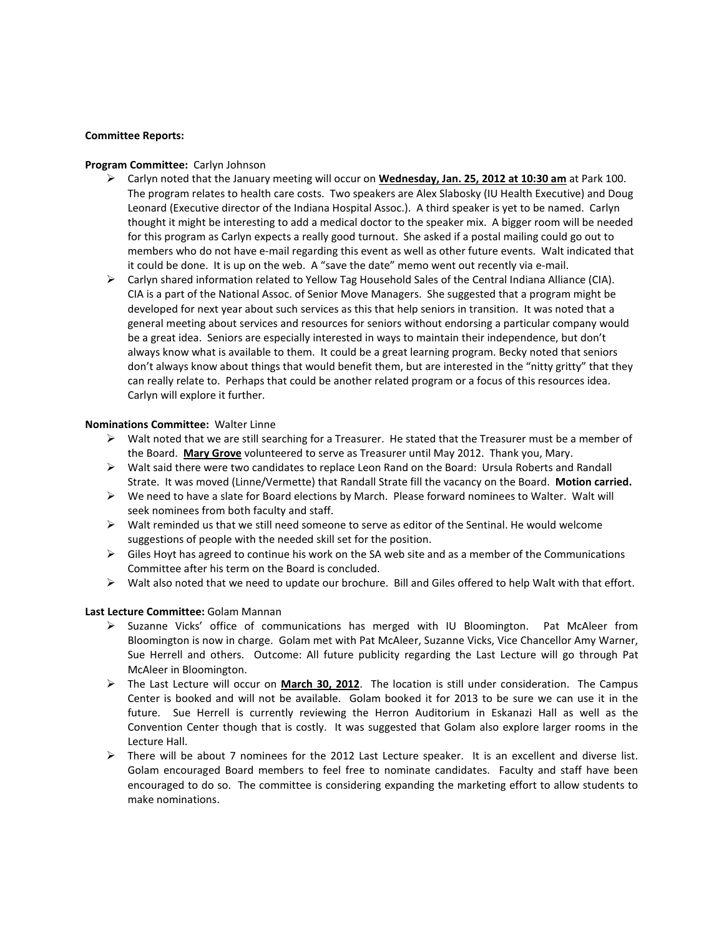### **Committee Reports:**

#### **Program Committee:** Carlyn Johnson

- Carlyn noted that the January meeting will occur on **Wednesday, Jan. 25, 2012 at 10:30 am** at Park 100. The program relates to health care costs. Two speakers are Alex Slabosky (IU Health Executive) and Doug Leonard (Executive director of the Indiana Hospital Assoc.). A third speaker is yet to be named. Carlyn thought it might be interesting to add a medical doctor to the speaker mix. A bigger room will be needed for this program as Carlyn expects a really good turnout. She asked if a postal mailing could go out to members who do not have e-mail regarding this event as well as other future events. Walt indicated that it could be done. It is up on the web. A "save the date" memo went out recently via e-mail.
- Carlyn shared information related to Yellow Tag Household Sales of the Central Indiana Alliance (CIA). CIA is a part of the National Assoc. of Senior Move Managers. She suggested that a program might be developed for next year about such services as this that help seniors in transition. It was noted that a general meeting about services and resources for seniors without endorsing a particular company would be a great idea. Seniors are especially interested in ways to maintain their independence, but don't always know what is available to them. It could be a great learning program. Becky noted that seniors don't always know about things that would benefit them, but are interested in the "nitty gritty" that they can really relate to. Perhaps that could be another related program or a focus of this resources idea. Carlyn will explore it further.

#### **Nominations Committee:** Walter Linne

- $\triangleright$  Walt noted that we are still searching for a Treasurer. He stated that the Treasurer must be a member of the Board. **Mary Grove** volunteered to serve as Treasurer until May 2012. Thank you, Mary.
- $\triangleright$  Walt said there were two candidates to replace Leon Rand on the Board: Ursula Roberts and Randall Strate. It was moved (Linne/Vermette) that Randall Strate fill the vacancy on the Board. **Motion carried.**
- $\triangleright$  We need to have a slate for Board elections by March. Please forward nominees to Walter. Walt will seek nominees from both faculty and staff.
- $\triangleright$  Walt reminded us that we still need someone to serve as editor of the Sentinal. He would welcome suggestions of people with the needed skill set for the position.
- $\triangleright$  Giles Hoyt has agreed to continue his work on the SA web site and as a member of the Communications Committee after his term on the Board is concluded.
- $\triangleright$  Walt also noted that we need to update our brochure. Bill and Giles offered to help Walt with that effort.

### **Last Lecture Committee:** Golam Mannan

- Suzanne Vicks' office of communications has merged with IU Bloomington. Pat McAleer from Bloomington is now in charge. Golam met with Pat McAleer, Suzanne Vicks, Vice Chancellor Amy Warner, Sue Herrell and others. Outcome: All future publicity regarding the Last Lecture will go through Pat McAleer in Bloomington.
- The Last Lecture will occur on **March 30, 2012**. The location is still under consideration. The Campus Center is booked and will not be available. Golam booked it for 2013 to be sure we can use it in the future. Sue Herrell is currently reviewing the Herron Auditorium in Eskanazi Hall as well as the Convention Center though that is costly. It was suggested that Golam also explore larger rooms in the Lecture Hall.
- $\triangleright$  There will be about 7 nominees for the 2012 Last Lecture speaker. It is an excellent and diverse list. Golam encouraged Board members to feel free to nominate candidates. Faculty and staff have been encouraged to do so. The committee is considering expanding the marketing effort to allow students to make nominations.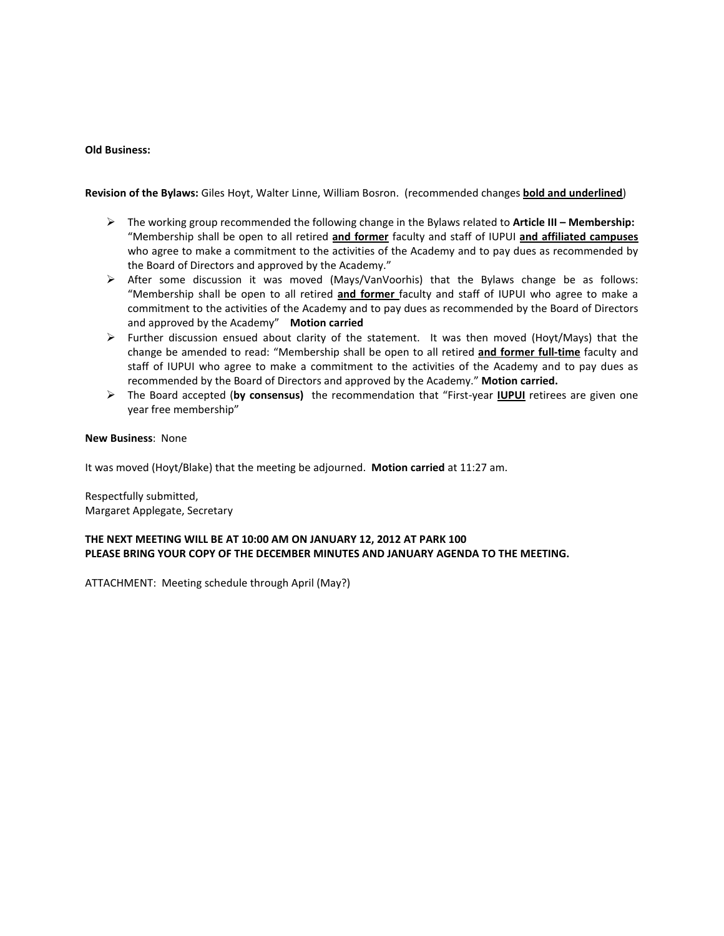### **Old Business:**

**Revision of the Bylaws:** Giles Hoyt, Walter Linne, William Bosron. (recommended changes **bold and underlined**)

- The working group recommended the following change in the Bylaws related to **Article III – Membership:** "Membership shall be open to all retired **and former** faculty and staff of IUPUI **and affiliated campuses** who agree to make a commitment to the activities of the Academy and to pay dues as recommended by the Board of Directors and approved by the Academy."
- $\triangleright$  After some discussion it was moved (Mays/VanVoorhis) that the Bylaws change be as follows: "Membership shall be open to all retired **and former** faculty and staff of IUPUI who agree to make a commitment to the activities of the Academy and to pay dues as recommended by the Board of Directors and approved by the Academy" **Motion carried**
- $\triangleright$  Further discussion ensued about clarity of the statement. It was then moved (Hoyt/Mays) that the change be amended to read: "Membership shall be open to all retired **and former full-time** faculty and staff of IUPUI who agree to make a commitment to the activities of the Academy and to pay dues as recommended by the Board of Directors and approved by the Academy." **Motion carried.**
- The Board accepted (**by consensus)** the recommendation that "First-year **IUPUI** retirees are given one year free membership"

#### **New Business**: None

It was moved (Hoyt/Blake) that the meeting be adjourned. **Motion carried** at 11:27 am.

Respectfully submitted, Margaret Applegate, Secretary

# **THE NEXT MEETING WILL BE AT 10:00 AM ON JANUARY 12, 2012 AT PARK 100 PLEASE BRING YOUR COPY OF THE DECEMBER MINUTES AND JANUARY AGENDA TO THE MEETING.**

ATTACHMENT: Meeting schedule through April (May?)